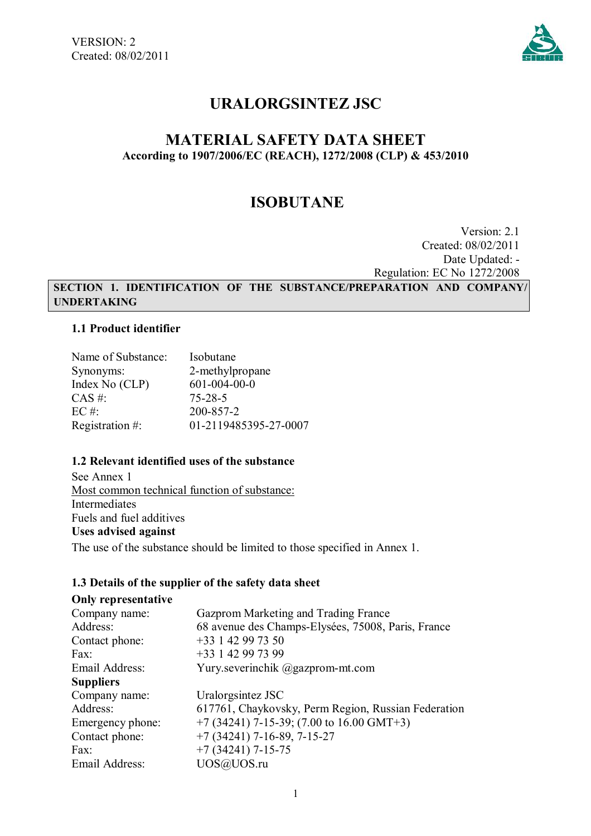

# **URALORGSINTEZ JSC**

## **MATERIAL SAFETY DATA SHEET According to 1907/2006/EC (REACH), 1272/2008 (CLP) & 453/2010**

# **ISOBUTANE**

Version: 2.1 Created: 08/02/2011 Date Updated: - Regulation: EC No 1272/2008

**SECTION 1. IDENTIFICATION OF THE SUBSTANCE/PREPARATION AND COMPANY/ UNDERTAKING**

### **1.1 Product identifier**

| Name of Substance: | Isobutane             |
|--------------------|-----------------------|
| Synonyms:          | 2-methylpropane       |
| Index No (CLP)     | $601 - 004 - 00 - 0$  |
| $CAS \#$ :         | $75 - 28 - 5$         |
| $EC \#$            | 200-857-2             |
| Registration #:    | 01-2119485395-27-0007 |

## **1.2 Relevant identified uses of the substance**

See Annex 1 Most common technical function of substance: Intermediates Fuels and fuel additives **Uses advised against** The use of the substance should be limited to those specified in Annex 1.

## **1.3 Details of the supplier of the safety data sheet**

| <b>Only representative</b> |                                                     |
|----------------------------|-----------------------------------------------------|
| Company name:              | Gazprom Marketing and Trading France                |
| Address:                   | 68 avenue des Champs-Elysées, 75008, Paris, France  |
| Contact phone:             | +33 1 42 99 73 50                                   |
| Fax:                       | +33 1 42 99 73 99                                   |
| Email Address:             | Yury.severinchik @gazprom-mt.com                    |
| <b>Suppliers</b>           |                                                     |
| Company name:              | Uralorgsintez JSC                                   |
| Address:                   | 617761, Chaykovsky, Perm Region, Russian Federation |
| Emergency phone:           | $+7$ (34241) 7-15-39; (7.00 to 16.00 GMT+3)         |
| Contact phone:             | $+7(34241)$ 7-16-89, 7-15-27                        |
| Fax:                       | $+7(34241)$ 7-15-75                                 |
| Email Address:             | UOS@UOS.ru                                          |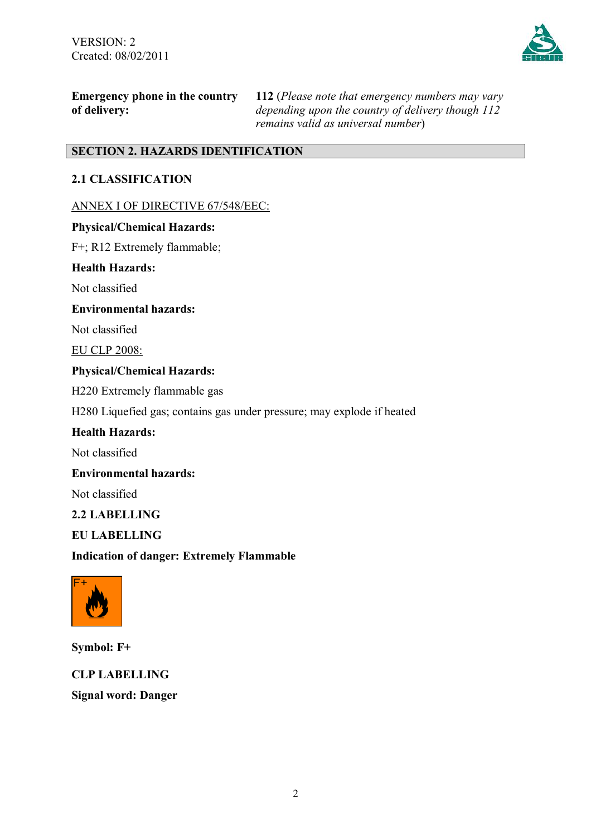

**Emergency phone in the country of delivery:**

**112** (*Please note that emergency numbers may vary depending upon the country of delivery though 112 remains valid as universal number*)

## **SECTION 2. HAZARDS IDENTIFICATION**

## **2.1 CLASSIFICATION**

ANNEX I OF DIRECTIVE 67/548/EEC:

## **Physical/Chemical Hazards:**

F+; R12 Extremely flammable;

### **Health Hazards:**

Not classified

### **Environmental hazards:**

Not classified

EU CLP 2008:

## **Physical/Chemical Hazards:**

H220 Extremely flammable gas

H280 Liquefied gas; contains gas under pressure; may explode if heated

## **Health Hazards:**

Not classified

### **Environmental hazards:**

Not classified

## **2.2 LABELLING**

## **EU LABELLING**

**Indication of danger: Extremely Flammable**



**Symbol: F+**

**CLP LABELLING Signal word: Danger**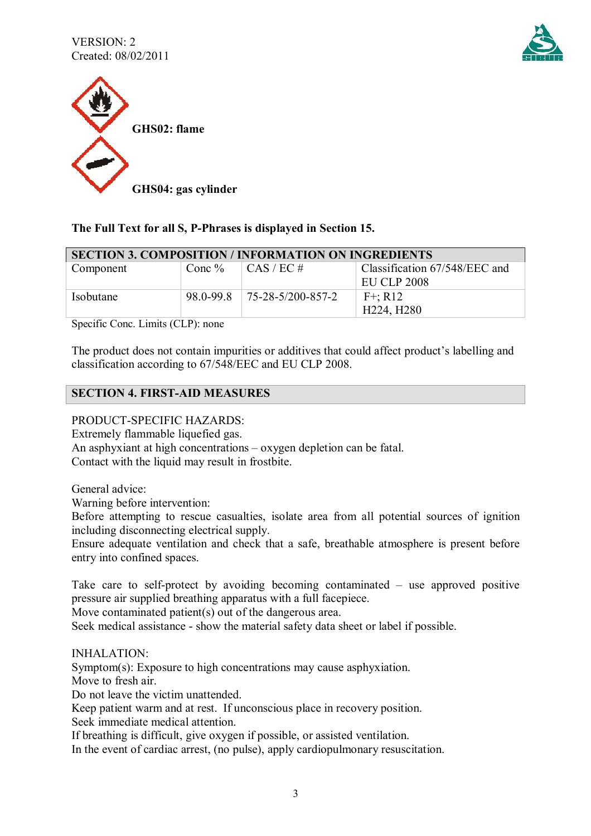



## **The Full Text for all S, P-Phrases is displayed in Section 15.**

| <b>SECTION 3. COMPOSITION / INFORMATION ON INGREDIENTS</b> |           |                             |                               |
|------------------------------------------------------------|-----------|-----------------------------|-------------------------------|
| Component                                                  | Conc $\%$ | $\vert$ CAS / EC #          | Classification 67/548/EEC and |
|                                                            |           |                             | EU CLP 2008                   |
| Isobutane                                                  | 98.0-99.8 | $75 - 28 - 5/200 - 857 - 2$ | $F^{+}$ ; R12                 |
|                                                            |           |                             | H224, H280                    |

Specific Conc. Limits (СLP): none

The product does not contain impurities or additives that could affect product's labelling and classification according to 67/548/ЕЕС and EU CLP 2008.

### **SECTION 4. FIRST-AID MEASURES**

PRODUCT-SPECIFIC HAZARDS:

Extremely flammable liquefied gas.

An asphyxiant at high concentrations – oxygen depletion can be fatal. Contact with the liquid may result in frostbite.

General advice:

Warning before intervention:

Before attempting to rescue casualties, isolate area from all potential sources of ignition including disconnecting electrical supply.

Ensure adequate ventilation and check that a safe, breathable atmosphere is present before entry into confined spaces.

Take care to self-protect by avoiding becoming contaminated – use approved positive pressure air supplied breathing apparatus with a full facepiece.

Move contaminated patient(s) out of the dangerous area.

Seek medical assistance - show the material safety data sheet or label if possible.

INHALATION:

Symptom(s): Exposure to high concentrations may cause asphyxiation.

Move to fresh air.

Do not leave the victim unattended.

Keep patient warm and at rest. If unconscious place in recovery position.

Seek immediate medical attention.

If breathing is difficult, give oxygen if possible, or assisted ventilation.

In the event of cardiac arrest, (no pulse), apply cardiopulmonary resuscitation.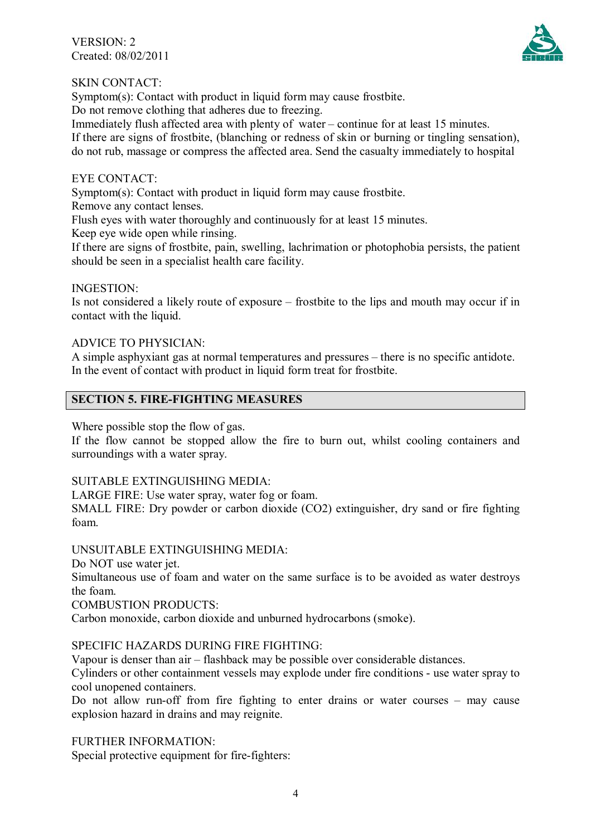VERSION: 2 Created: 08/02/2011



### SKIN CONTACT:

Symptom(s): Contact with product in liquid form may cause frostbite.

Do not remove clothing that adheres due to freezing.

Immediately flush affected area with plenty of water – continue for at least 15 minutes. If there are signs of frostbite, (blanching or redness of skin or burning or tingling sensation), do not rub, massage or compress the affected area. Send the casualty immediately to hospital

#### EYE CONTACT:

Symptom(s): Contact with product in liquid form may cause frostbite.

Remove any contact lenses.

Flush eyes with water thoroughly and continuously for at least 15 minutes.

Keep eye wide open while rinsing.

If there are signs of frostbite, pain, swelling, lachrimation or photophobia persists, the patient should be seen in a specialist health care facility.

#### INGESTION:

Is not considered a likely route of exposure – frostbite to the lips and mouth may occur if in contact with the liquid.

#### ADVICE TO PHYSICIAN:

A simple asphyxiant gas at normal temperatures and pressures – there is no specific antidote. In the event of contact with product in liquid form treat for frostbite.

### **SECTION 5. FIRE-FIGHTING MEASURES**

Where possible stop the flow of gas.

If the flow cannot be stopped allow the fire to burn out, whilst cooling containers and surroundings with a water spray.

#### SUITABLE EXTINGUISHING MEDIA:

LARGE FIRE: Use water spray, water fog or foam.

SMALL FIRE: Dry powder or carbon dioxide (CO2) extinguisher, dry sand or fire fighting foam.

#### UNSUITABLE EXTINGUISHING MEDIA:

Do NOT use water jet.

Simultaneous use of foam and water on the same surface is to be avoided as water destroys the foam.

COMBUSTION PRODUCTS:

Carbon monoxide, carbon dioxide and unburned hydrocarbons (smoke).

#### SPECIFIC HAZARDS DURING FIRE FIGHTING:

Vapour is denser than air – flashback may be possible over considerable distances.

Cylinders or other containment vessels may explode under fire conditions - use water spray to cool unopened containers.

Do not allow run-off from fire fighting to enter drains or water courses – may cause explosion hazard in drains and may reignite.

FURTHER INFORMATION:

Special protective equipment for fire-fighters: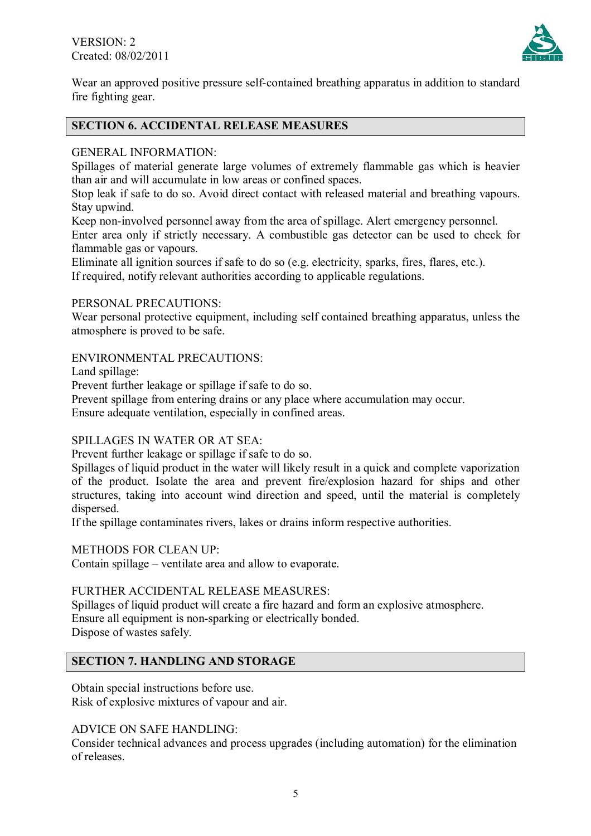

Wear an approved positive pressure self-contained breathing apparatus in addition to standard fire fighting gear.

## **SECTION 6. ACCIDENTAL RELEASE MEASURES**

## GENERAL INFORMATION:

Spillages of material generate large volumes of extremely flammable gas which is heavier than air and will accumulate in low areas or confined spaces.

Stop leak if safe to do so. Avoid direct contact with released material and breathing vapours. Stay upwind.

Keep non-involved personnel away from the area of spillage. Alert emergency personnel. Enter area only if strictly necessary. A combustible gas detector can be used to check for flammable gas or vapours.

Eliminate all ignition sources if safe to do so (e.g. electricity, sparks, fires, flares, etc.). If required, notify relevant authorities according to applicable regulations.

### PERSONAL PRECAUTIONS:

Wear personal protective equipment, including self contained breathing apparatus, unless the atmosphere is proved to be safe.

## ENVIRONMENTAL PRECAUTIONS:

Land spillage:

Prevent further leakage or spillage if safe to do so.

Prevent spillage from entering drains or any place where accumulation may occur. Ensure adequate ventilation, especially in confined areas.

## SPILLAGES IN WATER OR AT SEA:

Prevent further leakage or spillage if safe to do so.

Spillages of liquid product in the water will likely result in a quick and complete vaporization of the product. Isolate the area and prevent fire/explosion hazard for ships and other structures, taking into account wind direction and speed, until the material is completely dispersed.

If the spillage contaminates rivers, lakes or drains inform respective authorities.

METHODS FOR CLEAN UP:

Contain spillage – ventilate area and allow to evaporate.

## FURTHER ACCIDENTAL RELEASE MEASURES:

Spillages of liquid product will create a fire hazard and form an explosive atmosphere. Ensure all equipment is non-sparking or electrically bonded. Dispose of wastes safely.

## **SECTION 7. HANDLING AND STORAGE**

Obtain special instructions before use. Risk of explosive mixtures of vapour and air.

ADVICE ON SAFE HANDLING:

Consider technical advances and process upgrades (including automation) for the elimination of releases.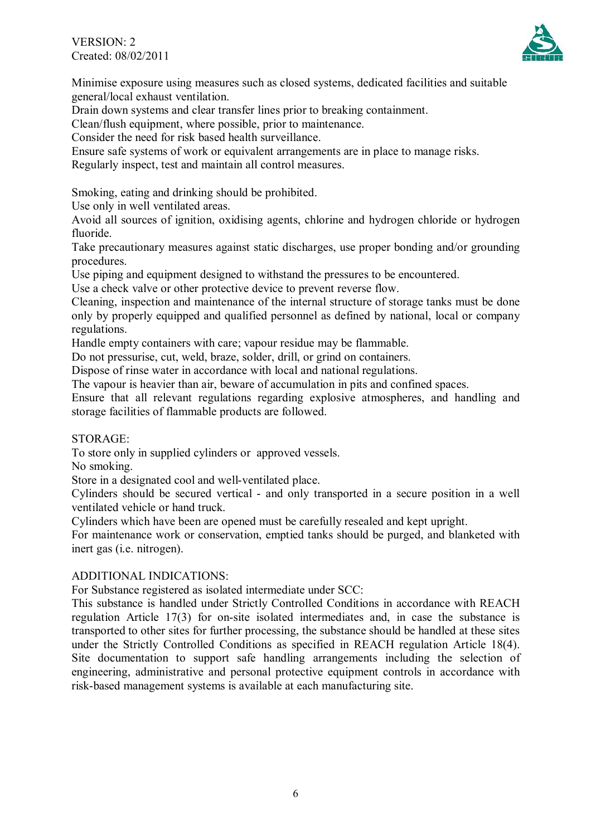VERSION: 2 Created: 08/02/2011



Minimise exposure using measures such as closed systems, dedicated facilities and suitable general/local exhaust ventilation.

Drain down systems and clear transfer lines prior to breaking containment.

Clean/flush equipment, where possible, prior to maintenance.

Consider the need for risk based health surveillance.

Ensure safe systems of work or equivalent arrangements are in place to manage risks.

Regularly inspect, test and maintain all control measures.

Smoking, eating and drinking should be prohibited.

Use only in well ventilated areas.

Avoid all sources of ignition, oxidising agents, chlorine and hydrogen chloride or hydrogen fluoride.

Take precautionary measures against static discharges, use proper bonding and/or grounding procedures.

Use piping and equipment designed to withstand the pressures to be encountered.

Use a check valve or other protective device to prevent reverse flow.

Cleaning, inspection and maintenance of the internal structure of storage tanks must be done only by properly equipped and qualified personnel as defined by national, local or company regulations.

Handle empty containers with care; vapour residue may be flammable.

Do not pressurise, cut, weld, braze, solder, drill, or grind on containers.

Dispose of rinse water in accordance with local and national regulations.

The vapour is heavier than air, beware of accumulation in pits and confined spaces.

Ensure that all relevant regulations regarding explosive atmospheres, and handling and storage facilities of flammable products are followed.

#### STORAGE:

To store only in supplied cylinders or approved vessels.

No smoking.

Store in a designated cool and well-ventilated place.

Cylinders should be secured vertical - and only transported in a secure position in a well ventilated vehicle or hand truck.

Cylinders which have been are opened must be carefully resealed and kept upright.

For maintenance work or conservation, emptied tanks should be purged, and blanketed with inert gas (i.e. nitrogen).

#### ADDITIONAL INDICATIONS:

For Substance registered as isolated intermediate under SCC:

This substance is handled under Strictly Controlled Conditions in accordance with REACH regulation Article 17(3) for on-site isolated intermediates and, in case the substance is transported to other sites for further processing, the substance should be handled at these sites under the Strictly Controlled Conditions as specified in REACH regulation Article 18(4). Site documentation to support safe handling arrangements including the selection of engineering, administrative and personal protective equipment controls in accordance with risk-based management systems is available at each manufacturing site.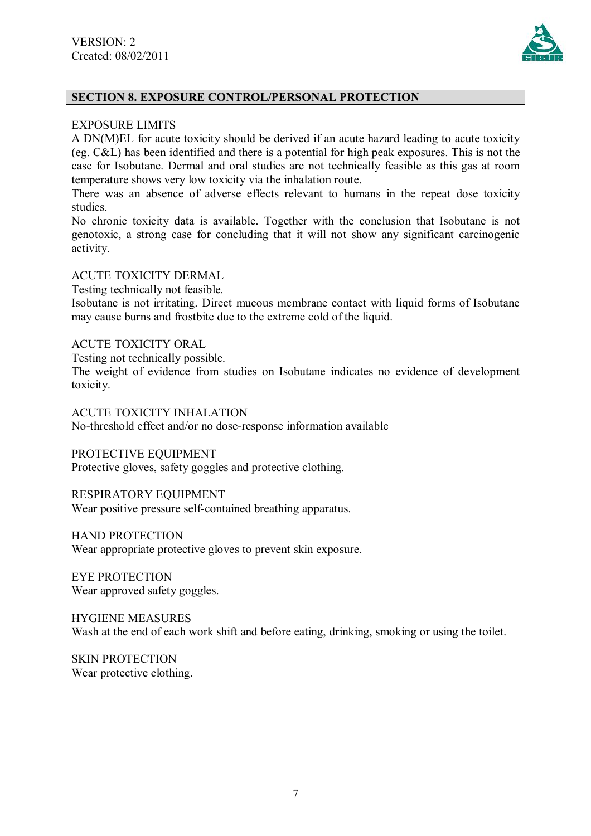

## **SECTION 8. EXPOSURE CONTROL/PERSONAL PROTECTION**

#### EXPOSURE LIMITS

A DN(M)EL for acute toxicity should be derived if an acute hazard leading to acute toxicity (eg. C&L) has been identified and there is a potential for high peak exposures. This is not the case for Isobutane. Dermal and oral studies are not technically feasible as this gas at room temperature shows very low toxicity via the inhalation route.

There was an absence of adverse effects relevant to humans in the repeat dose toxicity studies.

No chronic toxicity data is available. Together with the conclusion that Isobutane is not genotoxic, a strong case for concluding that it will not show any significant carcinogenic activity.

#### ACUTE TOXICITY DERMAL

Testing technically not feasible.

Isobutane is not irritating. Direct mucous membrane contact with liquid forms of Isobutane may cause burns and frostbite due to the extreme cold of the liquid.

#### ACUTE TOXICITY ORAL

Testing not technically possible.

The weight of evidence from studies on Isobutane indicates no evidence of development toxicity.

ACUTE TOXICITY INHALATION

No-threshold effect and/or no dose-response information available

PROTECTIVE EQUIPMENT

Protective gloves, safety goggles and protective clothing.

RESPIRATORY EQUIPMENT

Wear positive pressure self-contained breathing apparatus.

HAND PROTECTION

Wear appropriate protective gloves to prevent skin exposure.

EYE PROTECTION Wear approved safety goggles.

HYGIENE MEASURES Wash at the end of each work shift and before eating, drinking, smoking or using the toilet.

SKIN PROTECTION Wear protective clothing.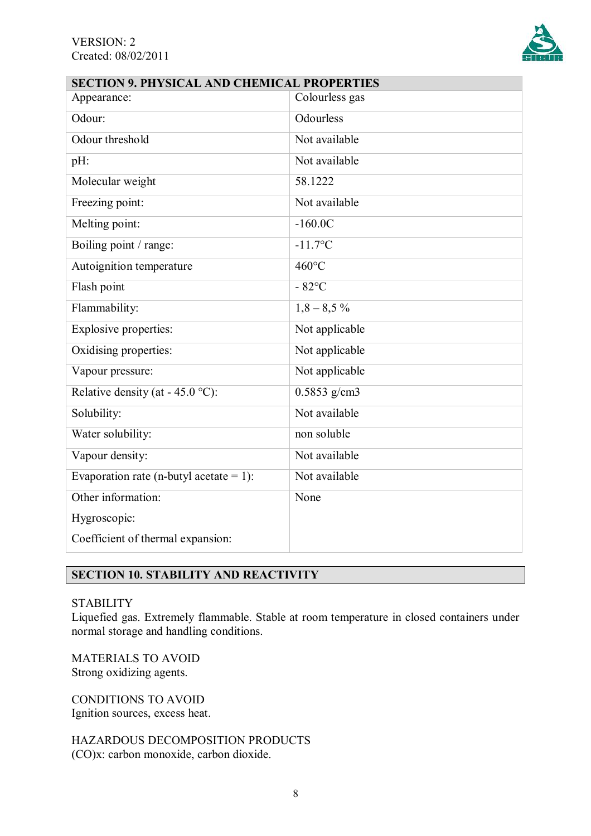

| <b>SECTION 9. PHYSICAL AND CHEMICAL PROPERTIES</b> |                 |  |
|----------------------------------------------------|-----------------|--|
| Appearance:                                        | Colourless gas  |  |
| Odour:                                             | Odourless       |  |
| Odour threshold                                    | Not available   |  |
| pH:                                                | Not available   |  |
| Molecular weight                                   | 58.1222         |  |
| Freezing point:                                    | Not available   |  |
| Melting point:                                     | $-160.0C$       |  |
| Boiling point / range:                             | $-11.7$ °C      |  |
| Autoignition temperature                           | 460°C           |  |
| Flash point                                        | $-82^{\circ}$ C |  |
| Flammability:                                      | $1,8-8,5\%$     |  |
| Explosive properties:                              | Not applicable  |  |
| Oxidising properties:                              | Not applicable  |  |
| Vapour pressure:                                   | Not applicable  |  |
| Relative density (at - $45.0$ °C):                 | $0.5853$ g/cm3  |  |
| Solubility:                                        | Not available   |  |
| Water solubility:                                  | non soluble     |  |
| Vapour density:                                    | Not available   |  |
| Evaporation rate (n-butyl acetate = 1):            | Not available   |  |
| Other information:                                 | None            |  |
| Hygroscopic:                                       |                 |  |
| Coefficient of thermal expansion:                  |                 |  |
|                                                    |                 |  |

## **SECTION 10. STABILITY AND REACTIVITY**

### **STABILITY**

Liquefied gas. Extremely flammable. Stable at room temperature in closed containers under normal storage and handling conditions.

MATERIALS TO AVOID Strong oxidizing agents.

CONDITIONS TO AVOID Ignition sources, excess heat.

HAZARDOUS DECOMPOSITION PRODUCTS (CO)x: carbon monoxide, carbon dioxide.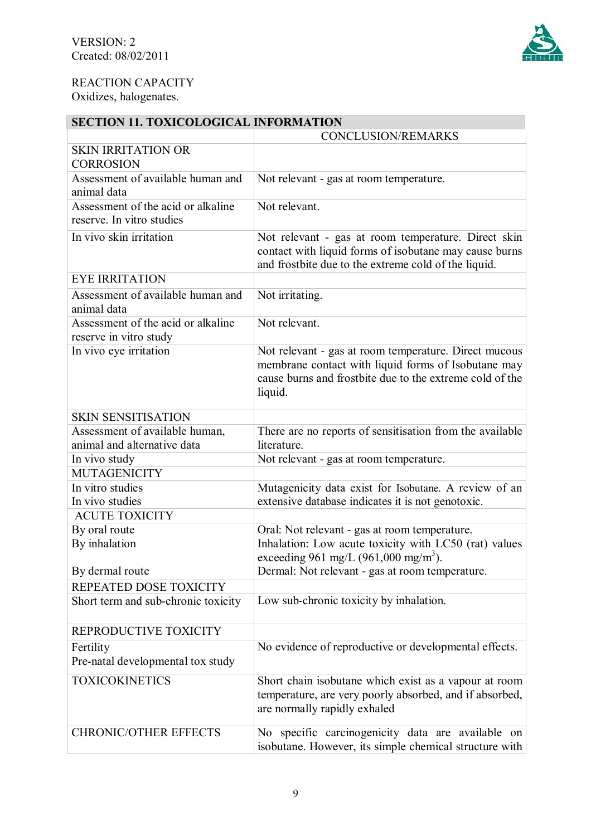## REACTION CAPACITY

Oxidizes, halogenates.

# **SECTION 11. TOXICOLOGICAL INFORMATION**

|                                                                 | <b>CONCLUSION/REMARKS</b>                                                                                                                                                           |
|-----------------------------------------------------------------|-------------------------------------------------------------------------------------------------------------------------------------------------------------------------------------|
| <b>SKIN IRRITATION OR</b><br><b>CORROSION</b>                   |                                                                                                                                                                                     |
| Assessment of available human and<br>animal data                | Not relevant - gas at room temperature.                                                                                                                                             |
| Assessment of the acid or alkaline<br>reserve. In vitro studies | Not relevant.                                                                                                                                                                       |
| In vivo skin irritation                                         | Not relevant - gas at room temperature. Direct skin<br>contact with liquid forms of isobutane may cause burns<br>and frostbite due to the extreme cold of the liquid.               |
| <b>EYE IRRITATION</b>                                           |                                                                                                                                                                                     |
| Assessment of available human and<br>animal data                | Not irritating.                                                                                                                                                                     |
| Assessment of the acid or alkaline<br>reserve in vitro study    | Not relevant.                                                                                                                                                                       |
| In vivo eye irritation                                          | Not relevant - gas at room temperature. Direct mucous<br>membrane contact with liquid forms of Isobutane may<br>cause burns and frostbite due to the extreme cold of the<br>liquid. |
| <b>SKIN SENSITISATION</b>                                       |                                                                                                                                                                                     |
| Assessment of available human,<br>animal and alternative data   | There are no reports of sensitisation from the available<br>literature.                                                                                                             |
| In vivo study                                                   | Not relevant - gas at room temperature.                                                                                                                                             |
| <b>MUTAGENICITY</b>                                             |                                                                                                                                                                                     |
| In vitro studies                                                | Mutagenicity data exist for Isobutane. A review of an                                                                                                                               |
| In vivo studies                                                 | extensive database indicates it is not genotoxic.                                                                                                                                   |
| <b>ACUTE TOXICITY</b>                                           |                                                                                                                                                                                     |
| By oral route<br>By inhalation                                  | Oral: Not relevant - gas at room temperature.<br>Inhalation: Low acute toxicity with LC50 (rat) values<br>exceeding 961 mg/L (961,000 mg/m <sup>3</sup> ).                          |
| By dermal route                                                 | Dermal: Not relevant - gas at room temperature.                                                                                                                                     |
| REPEATED DOSE TOXICITY                                          |                                                                                                                                                                                     |
| Short term and sub-chronic toxicity                             | Low sub-chronic toxicity by inhalation.                                                                                                                                             |
| REPRODUCTIVE TOXICITY                                           |                                                                                                                                                                                     |
| Fertility<br>Pre-natal developmental tox study                  | No evidence of reproductive or developmental effects.                                                                                                                               |
| <b>TOXICOKINETICS</b>                                           | Short chain isobutane which exist as a vapour at room<br>temperature, are very poorly absorbed, and if absorbed,<br>are normally rapidly exhaled                                    |
| <b>CHRONIC/OTHER EFFECTS</b>                                    | No specific carcinogenicity data are available on<br>isobutane. However, its simple chemical structure with                                                                         |

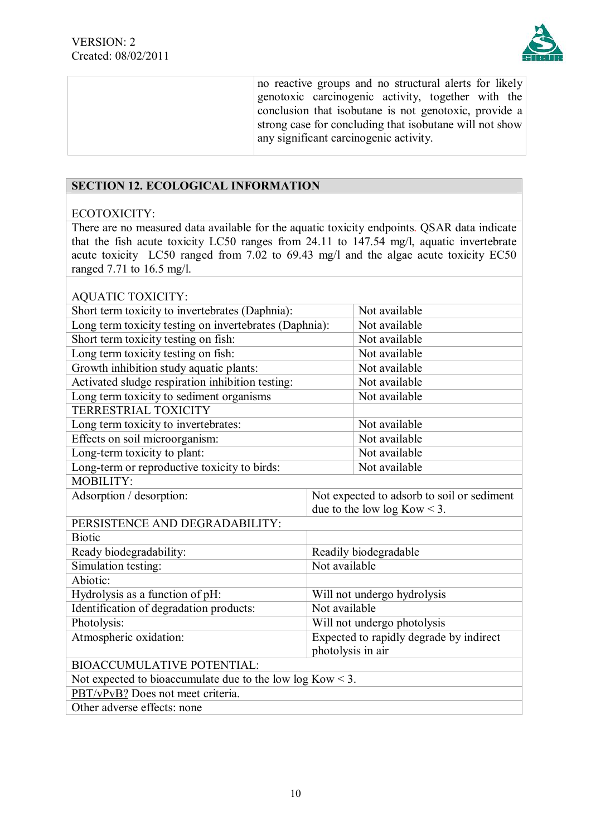

no reactive groups and no structural alerts for likely genotoxic carcinogenic activity, together with the conclusion that isobutane is not genotoxic, provide a strong case for concluding that isobutane will not show any significant carcinogenic activity.

## **SECTION 12. ECOLOGICAL INFORMATION**

#### ECOTOXICITY:

There are no measured data available for the aquatic toxicity endpoints. QSAR data indicate that the fish acute toxicity LC50 ranges from 24.11 to 147.54 mg/l, aquatic invertebrate acute toxicity LC50 ranged from 7.02 to 69.43 mg/l and the algae acute toxicity EC50 ranged 7.71 to 16.5 mg/l.

| <b>AQUATIC TOXICITY:</b>                                     |  |                                            |  |
|--------------------------------------------------------------|--|--------------------------------------------|--|
| Short term toxicity to invertebrates (Daphnia):              |  | Not available                              |  |
| Long term toxicity testing on invertebrates (Daphnia):       |  | Not available                              |  |
| Short term toxicity testing on fish:                         |  | Not available                              |  |
| Long term toxicity testing on fish:                          |  | Not available                              |  |
| Growth inhibition study aquatic plants:                      |  | Not available                              |  |
| Activated sludge respiration inhibition testing:             |  | Not available                              |  |
| Long term toxicity to sediment organisms                     |  | Not available                              |  |
| <b>TERRESTRIAL TOXICITY</b>                                  |  |                                            |  |
| Long term toxicity to invertebrates:                         |  | Not available                              |  |
| Effects on soil microorganism:                               |  | Not available                              |  |
| Long-term toxicity to plant:                                 |  | Not available                              |  |
| Long-term or reproductive toxicity to birds:                 |  | Not available                              |  |
| MOBILITY:                                                    |  |                                            |  |
| Adsorption / desorption:                                     |  | Not expected to adsorb to soil or sediment |  |
|                                                              |  | due to the low $log Kow < 3$ .             |  |
| PERSISTENCE AND DEGRADABILITY:                               |  |                                            |  |
| <b>Biotic</b>                                                |  |                                            |  |
| Ready biodegradability:                                      |  | Readily biodegradable                      |  |
| Simulation testing:<br>Not available                         |  |                                            |  |
| Abiotic:                                                     |  |                                            |  |
| Hydrolysis as a function of pH:                              |  | Will not undergo hydrolysis                |  |
| Identification of degradation products:<br>Not available     |  |                                            |  |
| Photolysis:                                                  |  | Will not undergo photolysis                |  |
| Atmospheric oxidation:                                       |  | Expected to rapidly degrade by indirect    |  |
| photolysis in air                                            |  |                                            |  |
| <b>BIOACCUMULATIVE POTENTIAL:</b>                            |  |                                            |  |
| Not expected to bioaccumulate due to the low $log Kow < 3$ . |  |                                            |  |
| PBT/vPvB? Does not meet criteria.                            |  |                                            |  |
| Other adverse effects: none                                  |  |                                            |  |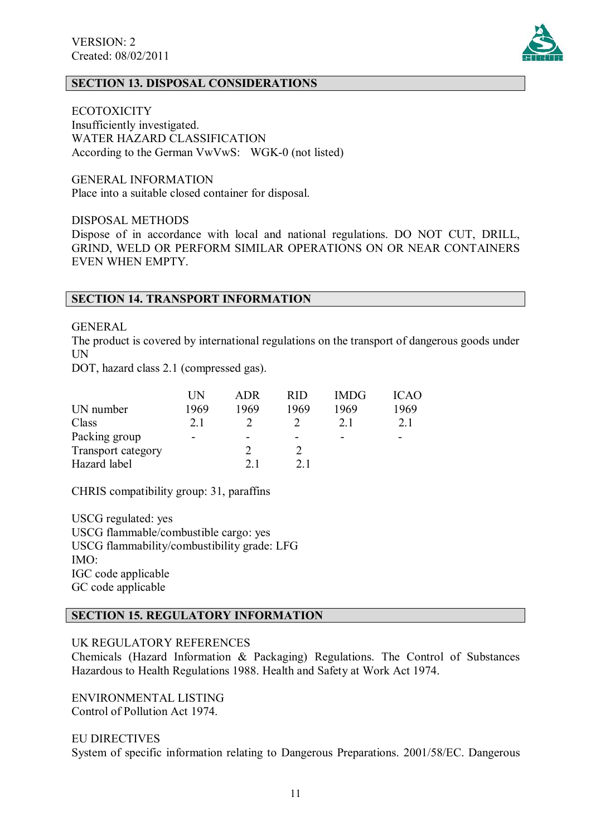

## **SECTION 13. DISPOSAL CONSIDERATIONS**

**ECOTOXICITY** 

Insufficiently investigated. WATER HAZARD CLASSIFICATION According to the German VwVwS: WGK-0 (not listed)

GENERAL INFORMATION Place into a suitable closed container for disposal.

DISPOSAL METHODS

Dispose of in accordance with local and national regulations. DO NOT CUT, DRILL, GRIND, WELD OR PERFORM SIMILAR OPERATIONS ON OR NEAR CONTAINERS EVEN WHEN EMPTY.

### **SECTION 14. TRANSPORT INFORMATION**

GENERAL

The product is covered by international regulations on the transport of dangerous goods under UN

DOT, hazard class 2.1 (compressed gas).

|                           | UN   | ADR  | <b>RID</b>     | <b>IMDG</b> | ICAO.                    |
|---------------------------|------|------|----------------|-------------|--------------------------|
| UN number                 | 1969 | 1969 | 1969           | 1969        | 1969                     |
| Class                     | 2.1  |      |                | 2.1         | 2.1                      |
| Packing group             | -    |      |                | -           | $\overline{\phantom{0}}$ |
| <b>Transport category</b> |      |      |                |             |                          |
| Hazard label              |      | 21   | 2 <sub>1</sub> |             |                          |

CHRIS compatibility group: 31, paraffins

USCG regulated: yes USCG flammable/combustible cargo: yes USCG flammability/combustibility grade: LFG IMO: IGC code applicable GC code applicable

## **SECTION 15. REGULATORY INFORMATION**

UK REGULATORY REFERENCES

Chemicals (Hazard Information & Packaging) Regulations. The Control of Substances Hazardous to Health Regulations 1988. Health and Safety at Work Act 1974.

ENVIRONMENTAL LISTING Control of Pollution Act 1974.

EU DIRECTIVES System of specific information relating to Dangerous Preparations. 2001/58/EC. Dangerous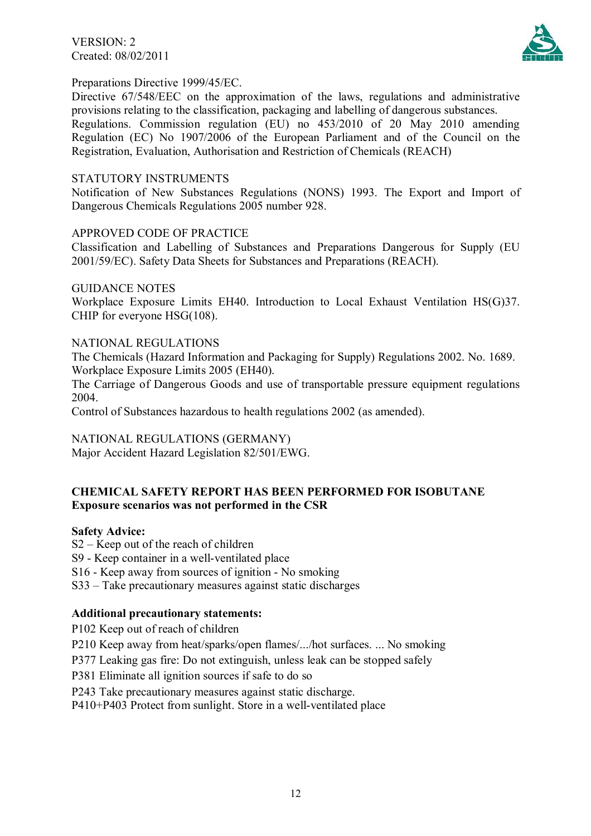VERSION: 2 Created: 08/02/2011



### Preparations Directive 1999/45/EC.

Directive 67/548/EEC on the approximation of the laws, regulations and administrative provisions relating to the classification, packaging and labelling of dangerous substances. Regulations. Commission regulation (EU) no 453/2010 of 20 May 2010 amending Regulation (EC) No 1907/2006 of the European Parliament and of the Council on the Registration, Evaluation, Authorisation and Restriction of Chemicals (REACH)

#### STATUTORY INSTRUMENTS

Notification of New Substances Regulations (NONS) 1993. The Export and Import of Dangerous Chemicals Regulations 2005 number 928.

#### APPROVED CODE OF PRACTICE

Classification and Labelling of Substances and Preparations Dangerous for Supply (EU 2001/59/EC). Safety Data Sheets for Substances and Preparations (REACH).

#### GUIDANCE NOTES

Workplace Exposure Limits EH40. Introduction to Local Exhaust Ventilation HS(G)37. CHIP for everyone HSG(108).

#### NATIONAL REGULATIONS

The Chemicals (Hazard Information and Packaging for Supply) Regulations 2002. No. 1689. Workplace Exposure Limits 2005 (EH40).

The Carriage of Dangerous Goods and use of transportable pressure equipment regulations 2004.

Control of Substances hazardous to health regulations 2002 (as amended).

NATIONAL REGULATIONS (GERMANY)

Major Accident Hazard Legislation 82/501/EWG.

## **CHEMICAL SAFETY REPORT HAS BEEN PERFORMED FOR ISOBUTANE Exposure scenarios was not performed in the CSR**

#### **Safety Advice:**

S2 – Keep out of the reach of children

S9 - Keep container in a well-ventilated place

S16 - Keep away from sources of ignition - No smoking

S33 – Take precautionary measures against static discharges

#### **Additional precautionary statements:**

P102 Keep out of reach of children

P210 Keep away from heat/sparks/open flames/.../hot surfaces. ... No smoking

P377 Leaking gas fire: Do not extinguish, unless leak can be stopped safely

P381 Eliminate all ignition sources if safe to do so

#### P243 Take precautionary measures against static discharge.

P410+P403 Protect from sunlight. Store in a well-ventilated place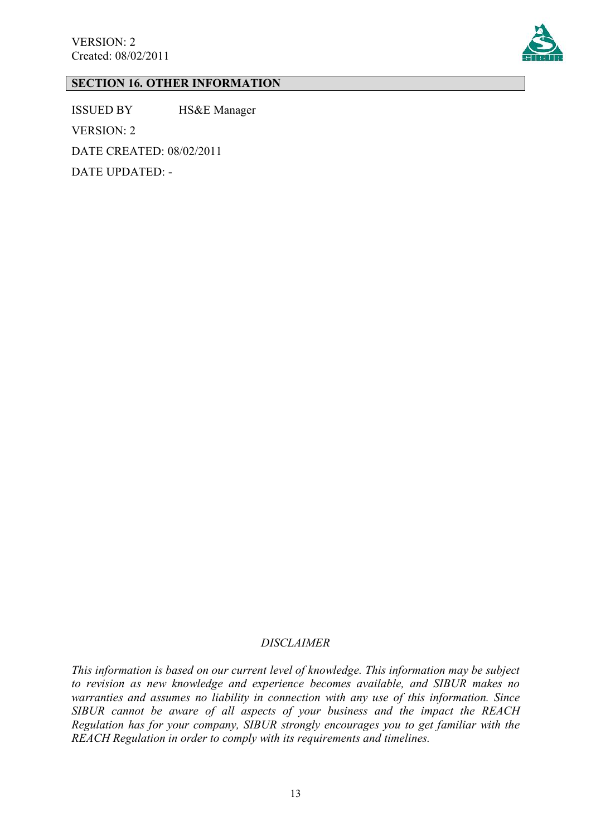

# **SECTION 16. OTHER INFORMATION**

ISSUED BY HS&E Manager VERSION: 2 DATE CREATED: 08/02/2011 DATE UPDATED: -

#### *DISCLAIMER*

*This information is based on our current level of knowledge. This information may be subject to revision as new knowledge and experience becomes available, and SIBUR makes no warranties and assumes no liability in connection with any use of this information. Since SIBUR cannot be aware of all aspects of your business and the impact the REACH Regulation has for your company, SIBUR strongly encourages you to get familiar with the REACH Regulation in order to comply with its requirements and timelines.*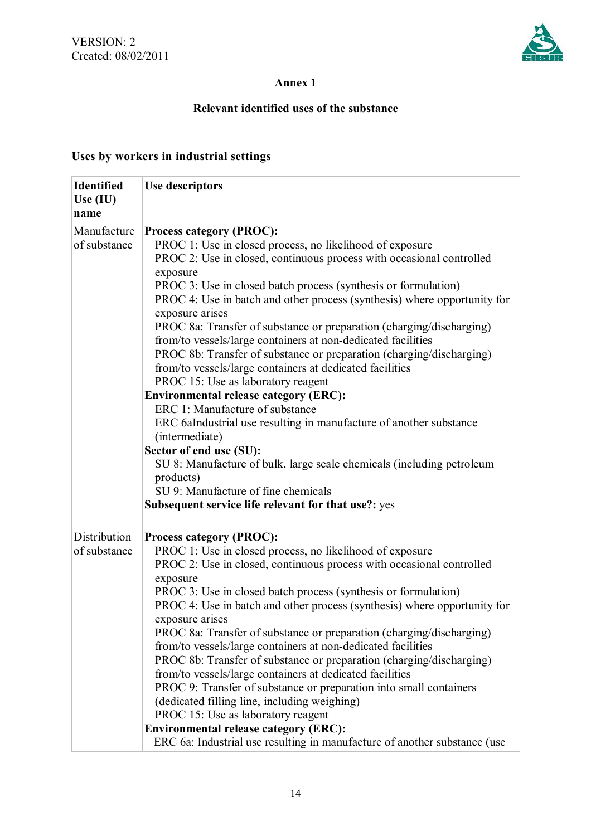

## **Annex 1**

## **Relevant identified uses of the substance**

## **Uses by workers in industrial settings**

| <b>Identified</b><br>Use $(IU)$<br>name | <b>Use descriptors</b>                                                                                                                                                                                                                                                                                                                                                                                                                                                                                                                                                                                                                                                                                                                                                                                                                                                                                                |
|-----------------------------------------|-----------------------------------------------------------------------------------------------------------------------------------------------------------------------------------------------------------------------------------------------------------------------------------------------------------------------------------------------------------------------------------------------------------------------------------------------------------------------------------------------------------------------------------------------------------------------------------------------------------------------------------------------------------------------------------------------------------------------------------------------------------------------------------------------------------------------------------------------------------------------------------------------------------------------|
| Manufacture<br>of substance             | <b>Process category (PROC):</b><br>PROC 1: Use in closed process, no likelihood of exposure<br>PROC 2: Use in closed, continuous process with occasional controlled<br>exposure<br>PROC 3: Use in closed batch process (synthesis or formulation)<br>PROC 4: Use in batch and other process (synthesis) where opportunity for<br>exposure arises<br>PROC 8a: Transfer of substance or preparation (charging/discharging)<br>from/to vessels/large containers at non-dedicated facilities<br>PROC 8b: Transfer of substance or preparation (charging/discharging)<br>from/to vessels/large containers at dedicated facilities<br>PROC 15: Use as laboratory reagent<br><b>Environmental release category (ERC):</b><br>ERC 1: Manufacture of substance<br>ERC 6aIndustrial use resulting in manufacture of another substance<br>(intermediate)<br>Sector of end use (SU):                                              |
|                                         | SU 8: Manufacture of bulk, large scale chemicals (including petroleum<br>products)<br>SU 9: Manufacture of fine chemicals<br>Subsequent service life relevant for that use?: yes                                                                                                                                                                                                                                                                                                                                                                                                                                                                                                                                                                                                                                                                                                                                      |
| Distribution<br>of substance            | <b>Process category (PROC):</b><br>PROC 1: Use in closed process, no likelihood of exposure<br>PROC 2: Use in closed, continuous process with occasional controlled<br>exposure<br>PROC 3: Use in closed batch process (synthesis or formulation)<br>PROC 4: Use in batch and other process (synthesis) where opportunity for<br>exposure arises<br>PROC 8a: Transfer of substance or preparation (charging/discharging)<br>from/to vessels/large containers at non-dedicated facilities<br>PROC 8b: Transfer of substance or preparation (charging/discharging)<br>from/to vessels/large containers at dedicated facilities<br>PROC 9: Transfer of substance or preparation into small containers<br>(dedicated filling line, including weighing)<br>PROC 15: Use as laboratory reagent<br><b>Environmental release category (ERC):</b><br>ERC 6a: Industrial use resulting in manufacture of another substance (use |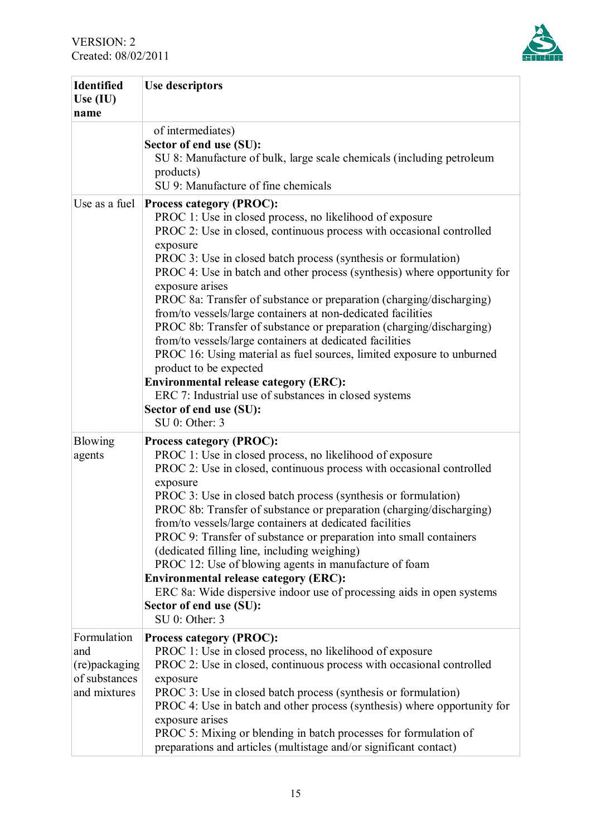

| <b>Identified</b><br>Use (IU)<br>name                                | <b>Use descriptors</b>                                                                                                                                                                                                                                                                                                                                                                                                                                                                                                                                                                                                                                                                                                                                                                                                                                                                  |
|----------------------------------------------------------------------|-----------------------------------------------------------------------------------------------------------------------------------------------------------------------------------------------------------------------------------------------------------------------------------------------------------------------------------------------------------------------------------------------------------------------------------------------------------------------------------------------------------------------------------------------------------------------------------------------------------------------------------------------------------------------------------------------------------------------------------------------------------------------------------------------------------------------------------------------------------------------------------------|
|                                                                      | of intermediates)<br>Sector of end use (SU):<br>SU 8: Manufacture of bulk, large scale chemicals (including petroleum<br>products)<br>SU 9: Manufacture of fine chemicals                                                                                                                                                                                                                                                                                                                                                                                                                                                                                                                                                                                                                                                                                                               |
| Use as a fuel                                                        | <b>Process category (PROC):</b><br>PROC 1: Use in closed process, no likelihood of exposure<br>PROC 2: Use in closed, continuous process with occasional controlled<br>exposure<br>PROC 3: Use in closed batch process (synthesis or formulation)<br>PROC 4: Use in batch and other process (synthesis) where opportunity for<br>exposure arises<br>PROC 8a: Transfer of substance or preparation (charging/discharging)<br>from/to vessels/large containers at non-dedicated facilities<br>PROC 8b: Transfer of substance or preparation (charging/discharging)<br>from/to vessels/large containers at dedicated facilities<br>PROC 16: Using material as fuel sources, limited exposure to unburned<br>product to be expected<br><b>Environmental release category (ERC):</b><br>ERC 7: Industrial use of substances in closed systems<br>Sector of end use (SU):<br>$SU$ 0: Other: 3 |
| <b>Blowing</b><br>agents                                             | <b>Process category (PROC):</b><br>PROC 1: Use in closed process, no likelihood of exposure<br>PROC 2: Use in closed, continuous process with occasional controlled<br>exposure<br>PROC 3: Use in closed batch process (synthesis or formulation)<br>PROC 8b: Transfer of substance or preparation (charging/discharging)<br>from/to vessels/large containers at dedicated facilities<br>PROC 9: Transfer of substance or preparation into small containers<br>(dedicated filling line, including weighing)<br>PROC 12: Use of blowing agents in manufacture of foam<br><b>Environmental release category (ERC):</b><br>ERC 8a: Wide dispersive indoor use of processing aids in open systems<br>Sector of end use (SU):<br>$SU 0$ : Other: 3                                                                                                                                           |
| Formulation<br>and<br>(re)packaging<br>of substances<br>and mixtures | <b>Process category (PROC):</b><br>PROC 1: Use in closed process, no likelihood of exposure<br>PROC 2: Use in closed, continuous process with occasional controlled<br>exposure<br>PROC 3: Use in closed batch process (synthesis or formulation)<br>PROC 4: Use in batch and other process (synthesis) where opportunity for<br>exposure arises<br>PROC 5: Mixing or blending in batch processes for formulation of<br>preparations and articles (multistage and/or significant contact)                                                                                                                                                                                                                                                                                                                                                                                               |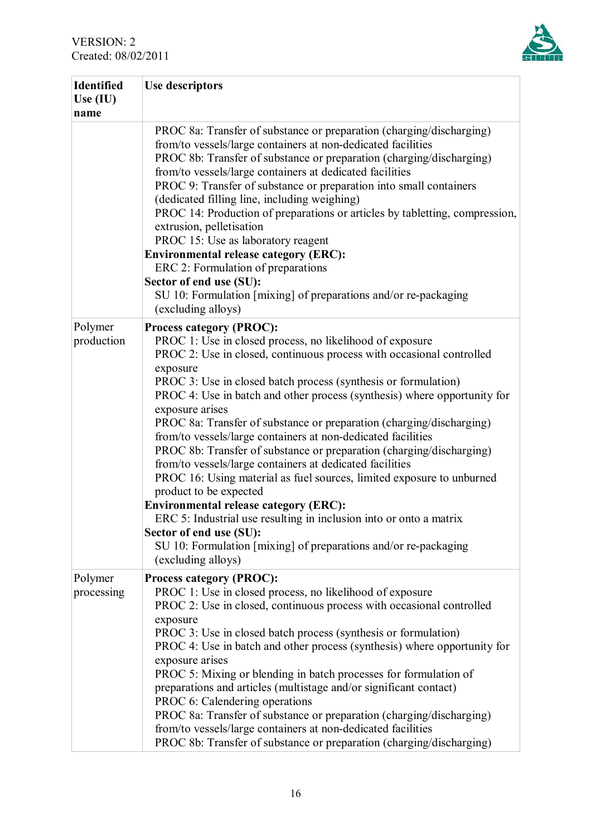

| <b>Identified</b><br>Use (IU)<br>name | Use descriptors                                                                                                                                                                                                                                                                                                                                                                                                                                                                                                                                                                                                                                                                                                                                                                                                                                                                                                                                                           |
|---------------------------------------|---------------------------------------------------------------------------------------------------------------------------------------------------------------------------------------------------------------------------------------------------------------------------------------------------------------------------------------------------------------------------------------------------------------------------------------------------------------------------------------------------------------------------------------------------------------------------------------------------------------------------------------------------------------------------------------------------------------------------------------------------------------------------------------------------------------------------------------------------------------------------------------------------------------------------------------------------------------------------|
|                                       | PROC 8a: Transfer of substance or preparation (charging/discharging)<br>from/to vessels/large containers at non-dedicated facilities<br>PROC 8b: Transfer of substance or preparation (charging/discharging)<br>from/to vessels/large containers at dedicated facilities<br>PROC 9: Transfer of substance or preparation into small containers<br>(dedicated filling line, including weighing)<br>PROC 14: Production of preparations or articles by tabletting, compression,<br>extrusion, pelletisation<br>PROC 15: Use as laboratory reagent<br><b>Environmental release category (ERC):</b><br>ERC 2: Formulation of preparations<br>Sector of end use (SU):<br>SU 10: Formulation [mixing] of preparations and/or re-packaging<br>(excluding alloys)                                                                                                                                                                                                                 |
| Polymer<br>production                 | <b>Process category (PROC):</b><br>PROC 1: Use in closed process, no likelihood of exposure<br>PROC 2: Use in closed, continuous process with occasional controlled<br>exposure<br>PROC 3: Use in closed batch process (synthesis or formulation)<br>PROC 4: Use in batch and other process (synthesis) where opportunity for<br>exposure arises<br>PROC 8a: Transfer of substance or preparation (charging/discharging)<br>from/to vessels/large containers at non-dedicated facilities<br>PROC 8b: Transfer of substance or preparation (charging/discharging)<br>from/to vessels/large containers at dedicated facilities<br>PROC 16: Using material as fuel sources, limited exposure to unburned<br>product to be expected<br><b>Environmental release category (ERC):</b><br>ERC 5: Industrial use resulting in inclusion into or onto a matrix<br>Sector of end use (SU):<br>SU 10: Formulation [mixing] of preparations and/or re-packaging<br>(excluding alloys) |
| Polymer<br>processing                 | <b>Process category (PROC):</b><br>PROC 1: Use in closed process, no likelihood of exposure<br>PROC 2: Use in closed, continuous process with occasional controlled<br>exposure<br>PROC 3: Use in closed batch process (synthesis or formulation)<br>PROC 4: Use in batch and other process (synthesis) where opportunity for<br>exposure arises<br>PROC 5: Mixing or blending in batch processes for formulation of<br>preparations and articles (multistage and/or significant contact)<br>PROC 6: Calendering operations<br>PROC 8a: Transfer of substance or preparation (charging/discharging)<br>from/to vessels/large containers at non-dedicated facilities<br>PROC 8b: Transfer of substance or preparation (charging/discharging)                                                                                                                                                                                                                               |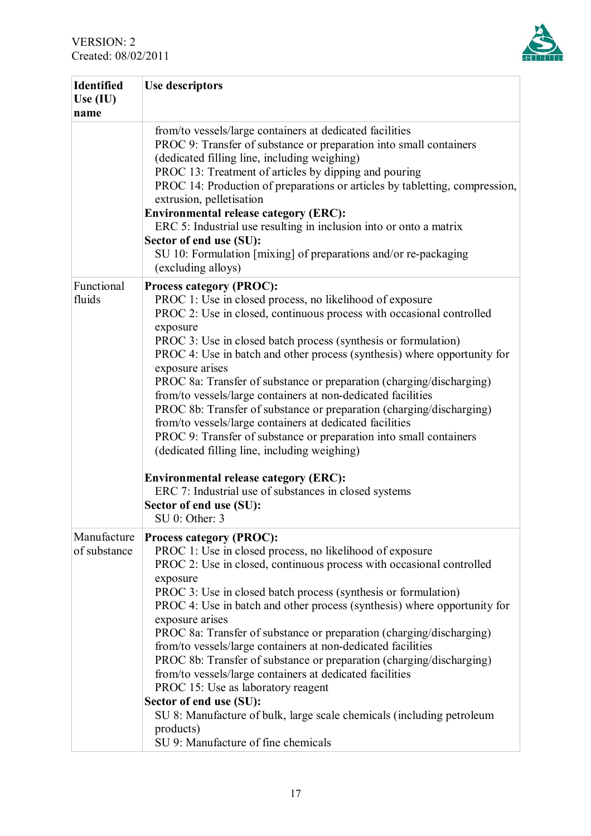

| <b>Identified</b><br>Use $(IU)$<br>name | <b>Use descriptors</b>                                                                                                                                                                                                                                                                                                                                                                                                                                                                                                                                                                                                                                                                                                                                                                                                                                                                                               |
|-----------------------------------------|----------------------------------------------------------------------------------------------------------------------------------------------------------------------------------------------------------------------------------------------------------------------------------------------------------------------------------------------------------------------------------------------------------------------------------------------------------------------------------------------------------------------------------------------------------------------------------------------------------------------------------------------------------------------------------------------------------------------------------------------------------------------------------------------------------------------------------------------------------------------------------------------------------------------|
|                                         | from/to vessels/large containers at dedicated facilities<br>PROC 9: Transfer of substance or preparation into small containers<br>(dedicated filling line, including weighing)<br>PROC 13: Treatment of articles by dipping and pouring<br>PROC 14: Production of preparations or articles by tabletting, compression,<br>extrusion, pelletisation<br><b>Environmental release category (ERC):</b><br>ERC 5: Industrial use resulting in inclusion into or onto a matrix<br>Sector of end use (SU):<br>SU 10: Formulation [mixing] of preparations and/or re-packaging<br>(excluding alloys)                                                                                                                                                                                                                                                                                                                         |
| Functional<br>fluids                    | <b>Process category (PROC):</b><br>PROC 1: Use in closed process, no likelihood of exposure<br>PROC 2: Use in closed, continuous process with occasional controlled<br>exposure<br>PROC 3: Use in closed batch process (synthesis or formulation)<br>PROC 4: Use in batch and other process (synthesis) where opportunity for<br>exposure arises<br>PROC 8a: Transfer of substance or preparation (charging/discharging)<br>from/to vessels/large containers at non-dedicated facilities<br>PROC 8b: Transfer of substance or preparation (charging/discharging)<br>from/to vessels/large containers at dedicated facilities<br>PROC 9: Transfer of substance or preparation into small containers<br>(dedicated filling line, including weighing)<br><b>Environmental release category (ERC):</b><br>ERC 7: Industrial use of substances in closed systems<br>Sector of end use (SU):<br>SU <sub>0</sub> : Other: 3 |
| Manufacture<br>of substance             | <b>Process category (PROC):</b><br>PROC 1: Use in closed process, no likelihood of exposure<br>PROC 2: Use in closed, continuous process with occasional controlled<br>exposure<br>PROC 3: Use in closed batch process (synthesis or formulation)<br>PROC 4: Use in batch and other process (synthesis) where opportunity for<br>exposure arises<br>PROC 8a: Transfer of substance or preparation (charging/discharging)<br>from/to vessels/large containers at non-dedicated facilities<br>PROC 8b: Transfer of substance or preparation (charging/discharging)<br>from/to vessels/large containers at dedicated facilities<br>PROC 15: Use as laboratory reagent<br>Sector of end use (SU):<br>SU 8: Manufacture of bulk, large scale chemicals (including petroleum<br>products)<br>SU 9: Manufacture of fine chemicals                                                                                           |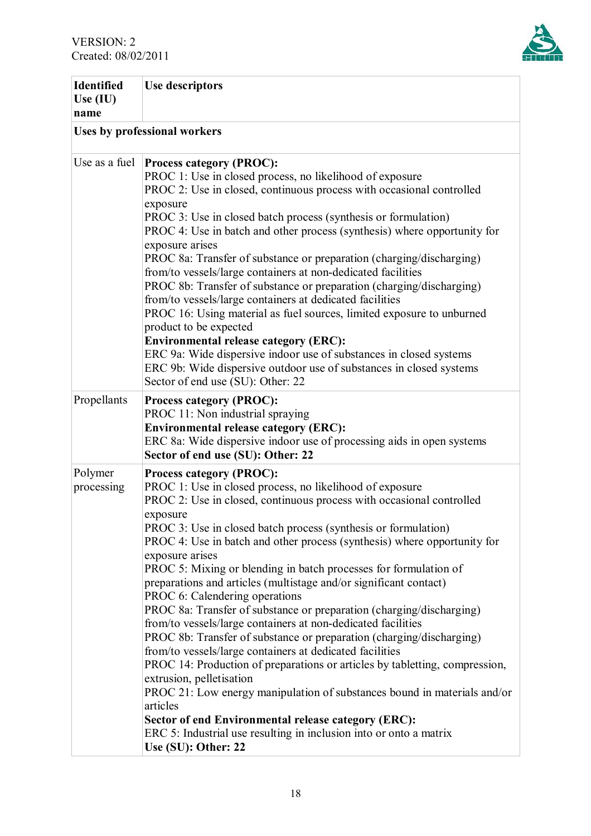

| <b>Identified</b><br>Use $(IU)$<br>name | <b>Use descriptors</b>                                                                                                                                                                                                                                                                                                                                                                                                                                                                                                                                                                                                                                                                                                                                                                                                                                                                                                                                                                                                                                                                                                                                         |  |  |
|-----------------------------------------|----------------------------------------------------------------------------------------------------------------------------------------------------------------------------------------------------------------------------------------------------------------------------------------------------------------------------------------------------------------------------------------------------------------------------------------------------------------------------------------------------------------------------------------------------------------------------------------------------------------------------------------------------------------------------------------------------------------------------------------------------------------------------------------------------------------------------------------------------------------------------------------------------------------------------------------------------------------------------------------------------------------------------------------------------------------------------------------------------------------------------------------------------------------|--|--|
|                                         | Uses by professional workers                                                                                                                                                                                                                                                                                                                                                                                                                                                                                                                                                                                                                                                                                                                                                                                                                                                                                                                                                                                                                                                                                                                                   |  |  |
| Use as a fuel                           | <b>Process category (PROC):</b><br>PROC 1: Use in closed process, no likelihood of exposure<br>PROC 2: Use in closed, continuous process with occasional controlled<br>exposure<br>PROC 3: Use in closed batch process (synthesis or formulation)<br>PROC 4: Use in batch and other process (synthesis) where opportunity for<br>exposure arises<br>PROC 8a: Transfer of substance or preparation (charging/discharging)<br>from/to vessels/large containers at non-dedicated facilities<br>PROC 8b: Transfer of substance or preparation (charging/discharging)<br>from/to vessels/large containers at dedicated facilities<br>PROC 16: Using material as fuel sources, limited exposure to unburned<br>product to be expected<br><b>Environmental release category (ERC):</b><br>ERC 9a: Wide dispersive indoor use of substances in closed systems<br>ERC 9b: Wide dispersive outdoor use of substances in closed systems<br>Sector of end use (SU): Other: 22                                                                                                                                                                                              |  |  |
| Propellants                             | <b>Process category (PROC):</b><br>PROC 11: Non industrial spraying<br><b>Environmental release category (ERC):</b><br>ERC 8a: Wide dispersive indoor use of processing aids in open systems<br>Sector of end use (SU): Other: 22                                                                                                                                                                                                                                                                                                                                                                                                                                                                                                                                                                                                                                                                                                                                                                                                                                                                                                                              |  |  |
| Polymer<br>processing                   | <b>Process category (PROC):</b><br>PROC 1: Use in closed process, no likelihood of exposure<br>PROC 2: Use in closed, continuous process with occasional controlled<br>exposure<br>PROC 3: Use in closed batch process (synthesis or formulation)<br>PROC 4: Use in batch and other process (synthesis) where opportunity for<br>exposure arises<br>PROC 5: Mixing or blending in batch processes for formulation of<br>preparations and articles (multistage and/or significant contact)<br>PROC 6: Calendering operations<br>PROC 8a: Transfer of substance or preparation (charging/discharging)<br>from/to vessels/large containers at non-dedicated facilities<br>PROC 8b: Transfer of substance or preparation (charging/discharging)<br>from/to vessels/large containers at dedicated facilities<br>PROC 14: Production of preparations or articles by tabletting, compression,<br>extrusion, pelletisation<br>PROC 21: Low energy manipulation of substances bound in materials and/or<br>articles<br>Sector of end Environmental release category (ERC):<br>ERC 5: Industrial use resulting in inclusion into or onto a matrix<br>Use (SU): Other: 22 |  |  |